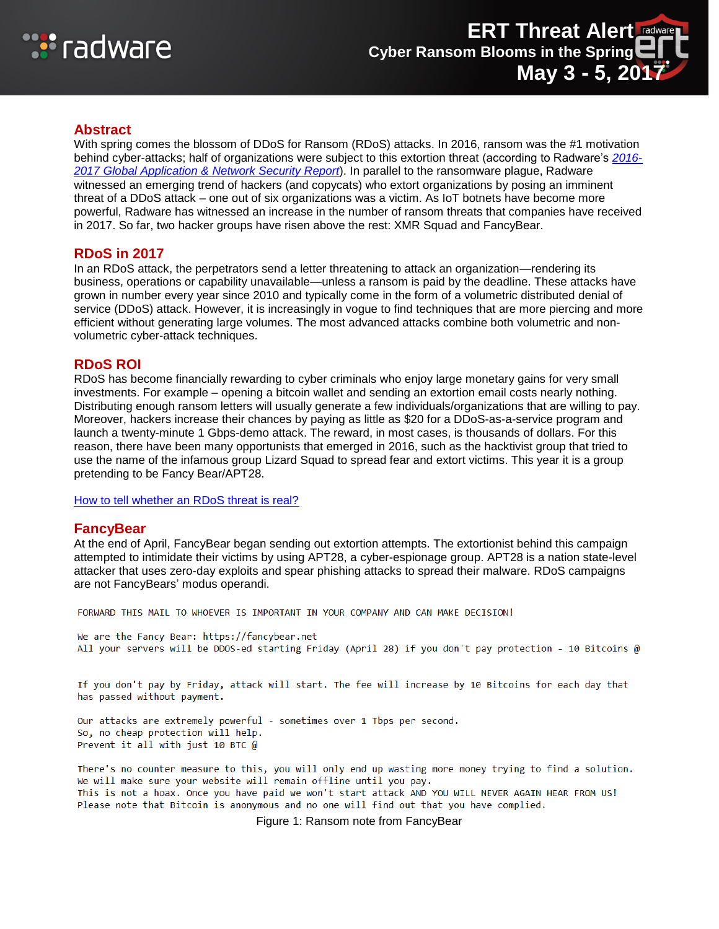

# **Abstract**

With spring comes the blossom of DDoS for Ransom (RDoS) attacks. In 2016, ransom was the #1 motivation behind cyber-attacks; half of organizations were subject to this extortion threat (according to Radware's *[2016-](https://www.radware.com/PleaseRegister.aspx?returnUrl=6442459502) [2017 Global Application &](https://www.radware.com/PleaseRegister.aspx?returnUrl=6442459502) Network Security Report*). In parallel to the ransomware plague, Radware witnessed an emerging trend of hackers (and copycats) who extort organizations by posing an imminent threat of a DDoS attack – one out of six organizations was a victim. As IoT botnets have become more powerful, Radware has witnessed an increase in the number of ransom threats that companies have received in 2017. So far, two hacker groups have risen above the rest: XMR Squad and FancyBear.

# **RDoS in 2017**

In an RDoS attack, the perpetrators send a letter threatening to attack an organization—rendering its business, operations or capability unavailable—unless a ransom is paid by the deadline. These attacks have grown in number every year since 2010 and typically come in the form of a volumetric distributed denial of service (DDoS) attack. However, it is increasingly in vogue to find techniques that are more piercing and more efficient without generating large volumes. The most advanced attacks combine both volumetric and nonvolumetric cyber-attack techniques.

# **RDoS ROI**

RDoS has become financially rewarding to cyber criminals who enjoy large monetary gains for very small investments. For example – opening a bitcoin wallet and sending an extortion email costs nearly nothing. Distributing enough ransom letters will usually generate a few individuals/organizations that are willing to pay. Moreover, hackers increase their chances by paying as little as \$20 for a DDoS-as-a-service program and launch a twenty-minute 1 Gbps-demo attack. The reward, in most cases, is thousands of dollars. For this reason, there have been many opportunists that emerged in 2016, such as the hacktivist group that tried to use the name of the infamous group Lizard Squad to spread fear and extort victims. This year it is a group pretending to be Fancy Bear/APT28.

[How to tell whether an RDoS threat is real?](https://security.radware.com/ddos-threats-attacks/threat-advisories-attack-reports/ransom-attacks/)

#### **FancyBear**

At the end of April, FancyBear began sending out extortion attempts. The extortionist behind this campaign attempted to intimidate their victims by using APT28, a cyber-espionage group. APT28 is a nation state-level attacker that uses zero-day exploits and spear phishing attacks to spread their malware. RDoS campaigns are not FancyBears' modus operandi.

FORWARD THIS MAIL TO WHOEVER IS IMPORTANT IN YOUR COMPANY AND CAN MAKE DECISION!

We are the Fancy Bear: https://fancybear.net All your servers will be DDOS-ed starting Friday (April 28) if you don't pay protection - 10 Bitcoins @

If you don't pay by Friday, attack will start. The fee will increase by 10 Bitcoins for each day that has passed without payment.

Our attacks are extremely powerful - sometimes over 1 Tbps per second. So, no cheap protection will help. Prevent it all with just 10 BTC @

There's no counter measure to this, you will only end up wasting more money trying to find a solution. We will make sure your website will remain offline until you pay. This is not a hoax. Once you have paid we won't start attack AND YOU WILL NEVER AGAIN HEAR FROM US! Please note that Bitcoin is anonymous and no one will find out that you have complied.

Figure 1: Ransom note from FancyBear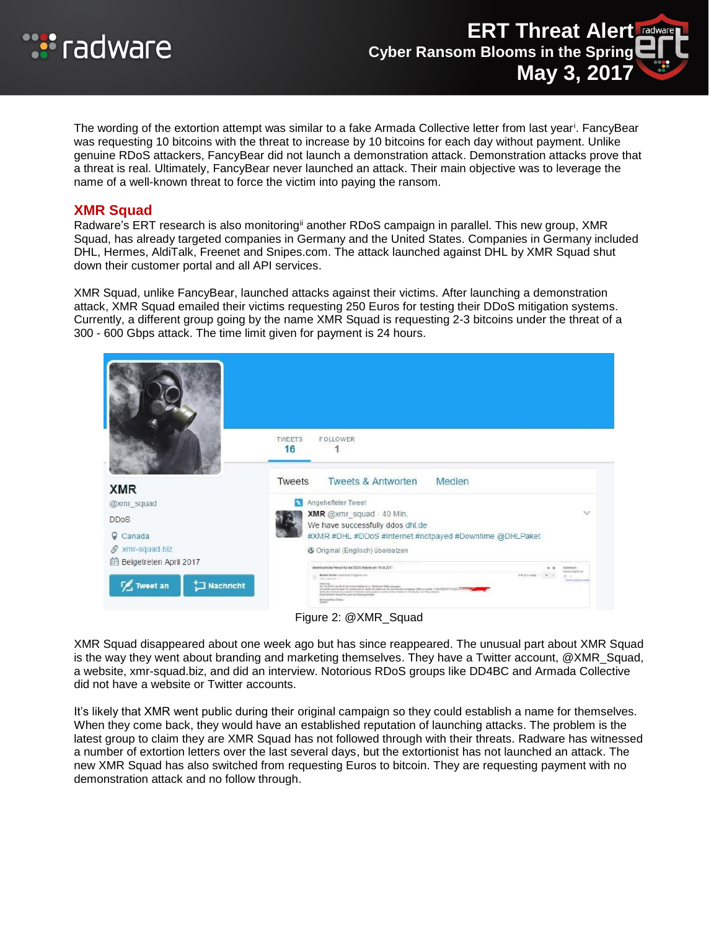

The wording of the extortion attempt was similar to a fake Armada Collective letter from last year<sup>i</sup>. FancyBear was requesting 10 bitcoins with the threat to increase by 10 bitcoins for each day without payment. Unlike genuine RDoS attackers, FancyBear did not launch a demonstration attack. Demonstration attacks prove that a threat is real. Ultimately, FancyBear never launched an attack. Their main objective was to leverage the name of a well-known threat to force the victim into paying the ransom.

### **XMR Squad**

Radware's ERT research is also monitoring<sup>ii</sup> another RDoS campaign in parallel. This new group, XMR Squad, has already targeted companies in Germany and the United States. Companies in Germany included DHL, Hermes, AldiTalk, Freenet and Snipes.com. The attack launched against DHL by XMR Squad shut down their customer portal and all API services.

XMR Squad, unlike FancyBear, launched attacks against their victims. After launching a demonstration attack, XMR Squad emailed their victims requesting 250 Euros for testing their DDoS mitigation systems. Currently, a different group going by the name XMR Squad is requesting 2-3 bitcoins under the threat of a 300 - 600 Gbps attack. The time limit given for payment is 24 hours.



XMR Squad disappeared about one week ago but has since reappeared. The unusual part about XMR Squad is the way they went about branding and marketing themselves. They have a Twitter account, @XMR\_Squad, a website, xmr-squad.biz, and did an interview. Notorious RDoS groups like DD4BC and Armada Collective did not have a website or Twitter accounts.

It's likely that XMR went public during their original campaign so they could establish a name for themselves. When they come back, they would have an established reputation of launching attacks. The problem is the latest group to claim they are XMR Squad has not followed through with their threats. Radware has witnessed a number of extortion letters over the last several days, but the extortionist has not launched an attack. The new XMR Squad has also switched from requesting Euros to bitcoin. They are requesting payment with no demonstration attack and no follow through.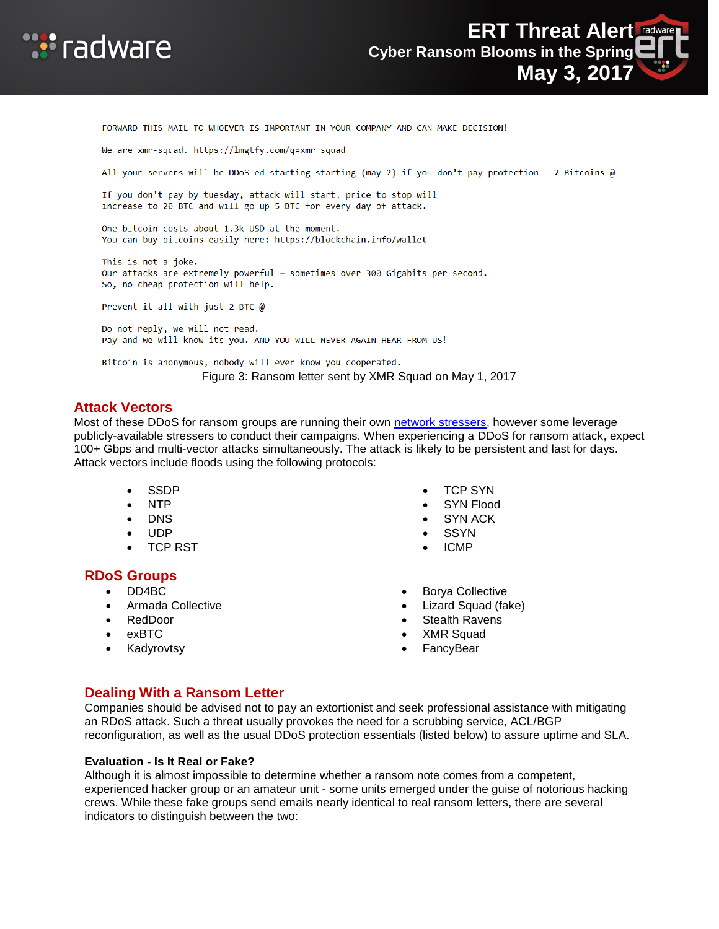



FORWARD THIS MAIL TO WHOEVER IS IMPORTANT IN YOUR COMPANY AND CAN MAKE DECISION! We are xmr-squad. https://lmgtfy.com/q=xmr squad All your servers will be DDoS-ed starting starting (may 2) if you don't pay protection - 2 Bitcoins @ If you don't pay by tuesday, attack will start, price to stop will increase to 20 BTC and will go up 5 BTC for every day of attack. One bitcoin costs about 1.3k USD at the moment. You can buy bitcoins easily here: https://blockchain.info/wallet This is not a joke. Our attacks are extremely powerful - sometimes over 300 Gigabits per second. So, no cheap protection will help. Prevent it all with just 2 BTC @ Do not reply, we will not read. Pay and we will know its you. AND YOU WILL NEVER AGAIN HEAR FROM US! Bitcoin is anonymous, nobody will ever know you cooperated. Figure 3: Ransom letter sent by XMR Squad on May 1, 2017

#### **Attack Vectors**

Most of these DDoS for ransom groups are running their own [network stressers,](https://security.radware.com/ddos-threats-attacks/threat-advisories-attack-reports/ddos-as-a-service/) however some leverage publicly-available stressers to conduct their campaigns. When experiencing a DDoS for ransom attack, expect 100+ Gbps and multi-vector attacks simultaneously. The attack is likely to be persistent and last for days. Attack vectors include floods using the following protocols:

- SSDP
- NTP
- DNS
- UDP
- TCP RST

#### **RDoS Groups**

- DD4BC
- Armada Collective
- RedDoor
- exBTC
- Kadyrovtsy
- TCP SYN
- SYN Flood
- SYN ACK
- **SSYN**
- ICMP
- Borya Collective
- Lizard Squad (fake)
- Stealth Ravens
- XMR Squad
- FancyBear

# **Dealing With a Ransom Letter**

Companies should be advised not to pay an extortionist and seek professional assistance with mitigating an RDoS attack. Such a threat usually provokes the need for a scrubbing service, ACL/BGP reconfiguration, as well as the usual DDoS protection essentials (listed below) to assure uptime and SLA.

#### **Evaluation - Is It Real or Fake?**

Although it is almost impossible to determine whether a ransom note comes from a competent, experienced hacker group or an amateur unit - some units emerged under the guise of notorious hacking crews. While these fake groups send emails nearly identical to real ransom letters, there are several indicators to distinguish between the two: